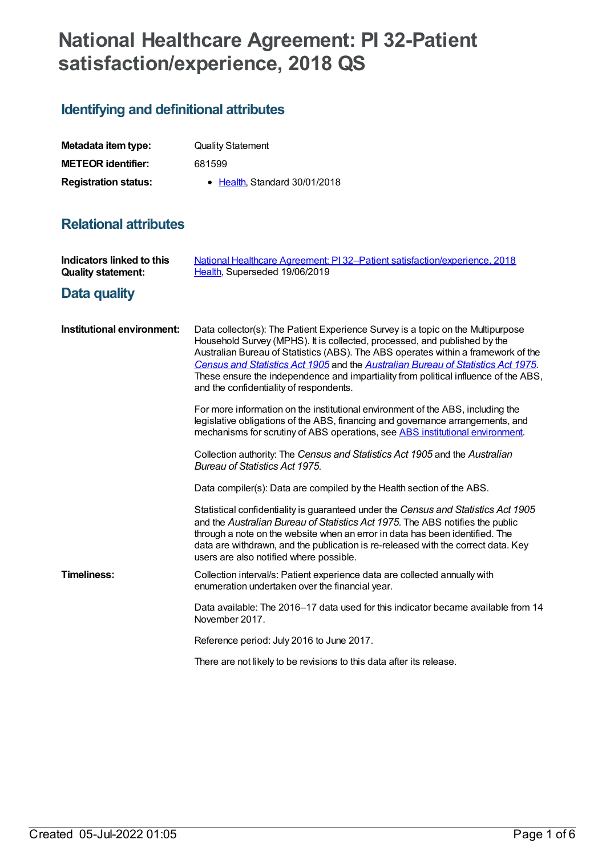# **National Healthcare Agreement: PI 32-Patient satisfaction/experience, 2018 QS**

# **Identifying and definitional attributes**

| Metadata item type:         | <b>Quality Statement</b>      |
|-----------------------------|-------------------------------|
| <b>METEOR identifier:</b>   | 681599                        |
| <b>Registration status:</b> | • Health, Standard 30/01/2018 |

# **Relational attributes**

| <b>Indicators linked to this</b><br><b>Quality statement:</b> | National Healthcare Agreement: PI32-Patient satisfaction/experience, 2018<br>Health, Superseded 19/06/2019                                                                                                                                                                                                                                                                                                                                                              |
|---------------------------------------------------------------|-------------------------------------------------------------------------------------------------------------------------------------------------------------------------------------------------------------------------------------------------------------------------------------------------------------------------------------------------------------------------------------------------------------------------------------------------------------------------|
| <b>Data quality</b>                                           |                                                                                                                                                                                                                                                                                                                                                                                                                                                                         |
| Institutional environment:                                    | Data collector(s): The Patient Experience Survey is a topic on the Multipurpose<br>Household Survey (MPHS). It is collected, processed, and published by the<br>Australian Bureau of Statistics (ABS). The ABS operates within a framework of the<br>Census and Statistics Act 1905 and the Australian Bureau of Statistics Act 1975.<br>These ensure the independence and impartiality from political influence of the ABS,<br>and the confidentiality of respondents. |
|                                                               | For more information on the institutional environment of the ABS, including the<br>legislative obligations of the ABS, financing and governance arrangements, and<br>mechanisms for scrutiny of ABS operations, see ABS institutional environment.                                                                                                                                                                                                                      |
|                                                               | Collection authority: The Census and Statistics Act 1905 and the Australian<br>Bureau of Statistics Act 1975.                                                                                                                                                                                                                                                                                                                                                           |
|                                                               | Data compiler(s): Data are compiled by the Health section of the ABS.                                                                                                                                                                                                                                                                                                                                                                                                   |
|                                                               | Statistical confidentiality is guaranteed under the Census and Statistics Act 1905<br>and the Australian Bureau of Statistics Act 1975. The ABS notifies the public<br>through a note on the website when an error in data has been identified. The<br>data are withdrawn, and the publication is re-released with the correct data. Key<br>users are also notified where possible.                                                                                     |
| <b>Timeliness:</b>                                            | Collection interval/s: Patient experience data are collected annually with<br>enumeration undertaken over the financial year.                                                                                                                                                                                                                                                                                                                                           |
|                                                               | Data available: The 2016–17 data used for this indicator became available from 14<br>November 2017.                                                                                                                                                                                                                                                                                                                                                                     |
|                                                               | Reference period: July 2016 to June 2017.                                                                                                                                                                                                                                                                                                                                                                                                                               |
|                                                               | There are not likely to be revisions to this data after its release.                                                                                                                                                                                                                                                                                                                                                                                                    |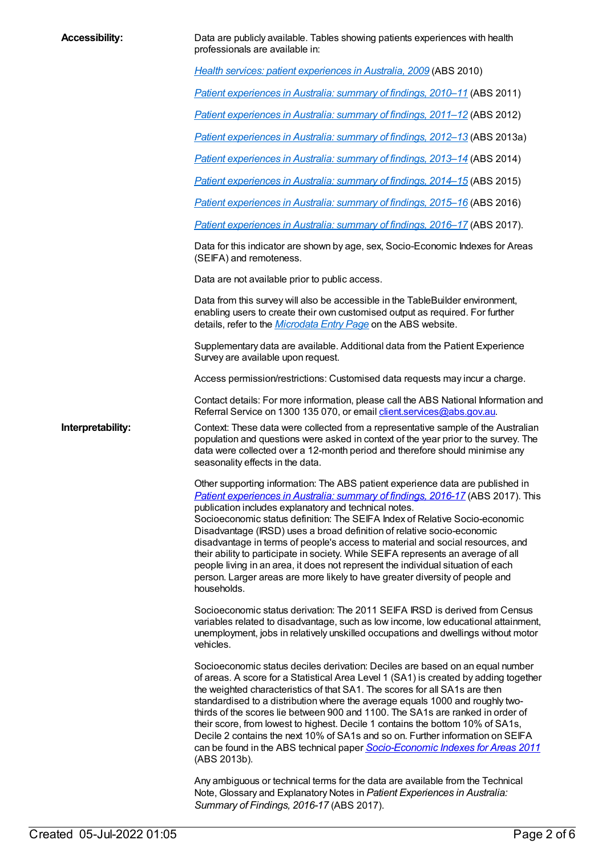| <b>Accessibility:</b> | Data are publicly available. Tables showing patients experiences with health<br>professionals are available in:                                                                                                                                                                                                                                                                                                                                                                                                                                                                                                                                                                                                                                                               |  |
|-----------------------|-------------------------------------------------------------------------------------------------------------------------------------------------------------------------------------------------------------------------------------------------------------------------------------------------------------------------------------------------------------------------------------------------------------------------------------------------------------------------------------------------------------------------------------------------------------------------------------------------------------------------------------------------------------------------------------------------------------------------------------------------------------------------------|--|
|                       | Health services: patient experiences in Australia, 2009 (ABS 2010)                                                                                                                                                                                                                                                                                                                                                                                                                                                                                                                                                                                                                                                                                                            |  |
|                       | <b>Patient experiences in Australia: summary of findings, 2010–11 (ABS 2011)</b>                                                                                                                                                                                                                                                                                                                                                                                                                                                                                                                                                                                                                                                                                              |  |
|                       | Patient experiences in Australia: summary of findings, 2011-12 (ABS 2012)                                                                                                                                                                                                                                                                                                                                                                                                                                                                                                                                                                                                                                                                                                     |  |
|                       | Patient experiences in Australia: summary of findings, 2012-13 (ABS 2013a)                                                                                                                                                                                                                                                                                                                                                                                                                                                                                                                                                                                                                                                                                                    |  |
|                       | Patient experiences in Australia: summary of findings, 2013-14 (ABS 2014)                                                                                                                                                                                                                                                                                                                                                                                                                                                                                                                                                                                                                                                                                                     |  |
|                       | Patient experiences in Australia: summary of findings, 2014–15 (ABS 2015)                                                                                                                                                                                                                                                                                                                                                                                                                                                                                                                                                                                                                                                                                                     |  |
|                       | Patient experiences in Australia: summary of findings, 2015-16 (ABS 2016)                                                                                                                                                                                                                                                                                                                                                                                                                                                                                                                                                                                                                                                                                                     |  |
|                       | Patient experiences in Australia: summary of findings, 2016-17 (ABS 2017).                                                                                                                                                                                                                                                                                                                                                                                                                                                                                                                                                                                                                                                                                                    |  |
|                       | Data for this indicator are shown by age, sex, Socio-Economic Indexes for Areas<br>(SEIFA) and remoteness.                                                                                                                                                                                                                                                                                                                                                                                                                                                                                                                                                                                                                                                                    |  |
|                       | Data are not available prior to public access.                                                                                                                                                                                                                                                                                                                                                                                                                                                                                                                                                                                                                                                                                                                                |  |
|                       | Data from this survey will also be accessible in the TableBuilder environment,<br>enabling users to create their own customised output as required. For further<br>details, refer to the <i>Microdata Entry Page</i> on the ABS website.                                                                                                                                                                                                                                                                                                                                                                                                                                                                                                                                      |  |
|                       | Supplementary data are available. Additional data from the Patient Experience<br>Survey are available upon request.                                                                                                                                                                                                                                                                                                                                                                                                                                                                                                                                                                                                                                                           |  |
|                       | Access permission/restrictions: Customised data requests may incur a charge.                                                                                                                                                                                                                                                                                                                                                                                                                                                                                                                                                                                                                                                                                                  |  |
|                       | Contact details: For more information, please call the ABS National Information and<br>Referral Service on 1300 135 070, or email client.services@abs.gov.au.                                                                                                                                                                                                                                                                                                                                                                                                                                                                                                                                                                                                                 |  |
| Interpretability:     | Context: These data were collected from a representative sample of the Australian<br>population and questions were asked in context of the year prior to the survey. The<br>data were collected over a 12-month period and therefore should minimise any<br>seasonality effects in the data.                                                                                                                                                                                                                                                                                                                                                                                                                                                                                  |  |
|                       | Other supporting information: The ABS patient experience data are published in<br>Patient experiences in Australia: summary of findings, 2016-17 (ABS 2017). This<br>publication includes explanatory and technical notes.<br>Socioeconomic status definition: The SEIFA Index of Relative Socio-economic<br>Disadvantage (IRSD) uses a broad definition of relative socio-economic<br>disadvantage in terms of people's access to material and social resources, and<br>their ability to participate in society. While SEIFA represents an average of all<br>people living in an area, it does not represent the individual situation of each<br>person. Larger areas are more likely to have greater diversity of people and<br>households.                                 |  |
|                       | Socioeconomic status derivation: The 2011 SEIFA IRSD is derived from Census<br>variables related to disadvantage, such as low income, low educational attainment,<br>unemployment, jobs in relatively unskilled occupations and dwellings without motor<br>vehicles.                                                                                                                                                                                                                                                                                                                                                                                                                                                                                                          |  |
|                       | Socioeconomic status deciles derivation: Deciles are based on an equal number<br>of areas. A score for a Statistical Area Level 1 (SA1) is created by adding together<br>the weighted characteristics of that SA1. The scores for all SA1s are then<br>standardised to a distribution where the average equals 1000 and roughly two-<br>thirds of the scores lie between 900 and 1100. The SA1s are ranked in order of<br>their score, from lowest to highest. Decile 1 contains the bottom 10% of SA1s,<br>Decile 2 contains the next 10% of SA1s and so on. Further information on SEIFA<br>can be found in the ABS technical paper Socio-Economic Indexes for Areas 2011<br>(ABS 2013b).<br>Any ambiguous or technical terms for the data are available from the Technical |  |
|                       | Note, Glossary and Explanatory Notes in Patient Experiences in Australia:<br>Summary of Findings, 2016-17 (ABS 2017).                                                                                                                                                                                                                                                                                                                                                                                                                                                                                                                                                                                                                                                         |  |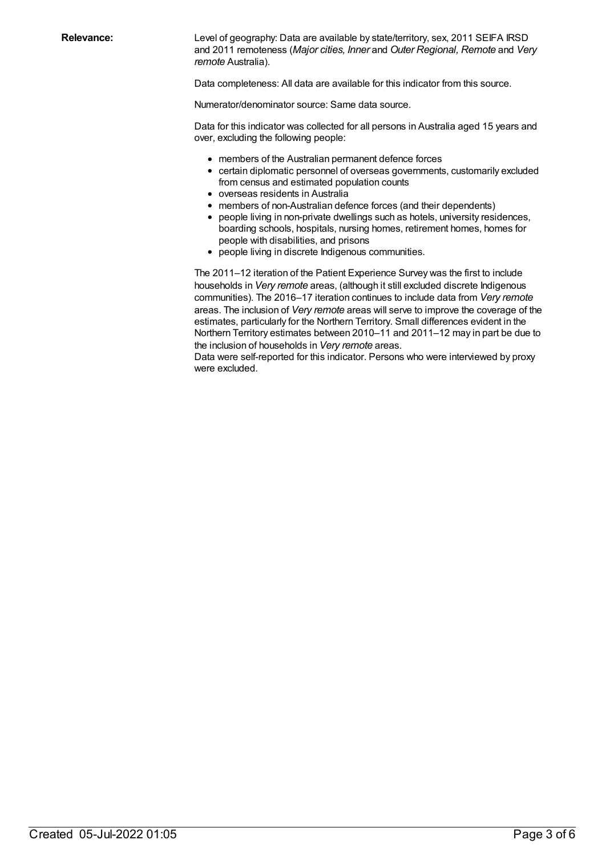**Relevance:** Level of geography: Data are available by state/territory, sex, 2011 SEIFA IRSD and 2011 remoteness (*Major cities, Inner* and *Outer Regional, Remote* and *Very remote* Australia).

Data completeness: All data are available for this indicator from this source.

Numerator/denominator source: Same data source.

Data for this indicator was collected for all persons in Australia aged 15 years and over, excluding the following people:

- members of the Australian permanent defence forces
- certain diplomatic personnel of overseas governments, customarily excluded from census and estimated population counts
- overseas residents in Australia
- members of non-Australian defence forces (and their dependents)
- people living in non-private dwellings such as hotels, university residences, boarding schools, hospitals, nursing homes, retirement homes, homes for people with disabilities, and prisons
- people living in discrete Indigenous communities.

The 2011–12 iteration of the Patient Experience Survey was the first to include households in *Very remote* areas, (although it still excluded discrete Indigenous communities). The 2016–17 iteration continues to include data from *Very remote* areas. The inclusion of *Very remote* areas will serve to improve the coverage of the estimates, particularly for the Northern Territory. Small differences evident in the Northern Territory estimates between 2010–11 and 2011–12 may in part be due to the inclusion of households in *Very remote* areas.

Data were self-reported for this indicator. Persons who were interviewed by proxy were excluded.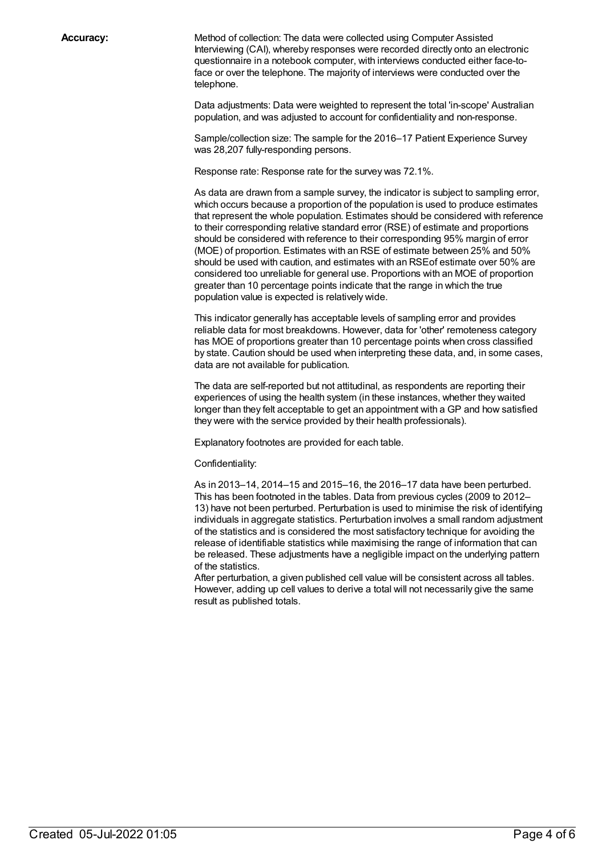**Accuracy:** Method of collection: The data were collected using Computer Assisted Interviewing (CAI), whereby responses were recorded directly onto an electronic questionnaire in a notebook computer, with interviews conducted either face-toface or over the telephone. The majority of interviews were conducted over the telephone.

> Data adjustments: Data were weighted to represent the total 'in-scope' Australian population, and was adjusted to account for confidentiality and non-response.

Sample/collection size: The sample for the 2016–17 Patient Experience Survey was 28,207 fully-responding persons.

Response rate: Response rate for the survey was 72.1%.

As data are drawn from a sample survey, the indicator is subject to sampling error, which occurs because a proportion of the population is used to produce estimates that represent the whole population. Estimates should be considered with reference to their corresponding relative standard error (RSE) of estimate and proportions should be considered with reference to their corresponding 95% margin of error (MOE) of proportion. Estimates with an RSE of estimate between 25% and 50% should be used with caution, and estimates with an RSEof estimate over 50% are considered too unreliable for general use. Proportions with an MOE of proportion greater than 10 percentage points indicate that the range in which the true population value is expected is relatively wide.

This indicator generally has acceptable levels of sampling error and provides reliable data for most breakdowns. However, data for 'other' remoteness category has MOE of proportions greater than 10 percentage points when cross classified by state. Caution should be used when interpreting these data, and, in some cases, data are not available for publication.

The data are self-reported but not attitudinal, as respondents are reporting their experiences of using the health system (in these instances, whether they waited longer than they felt acceptable to get an appointment with a GP and how satisfied they were with the service provided by their health professionals).

Explanatory footnotes are provided for each table.

Confidentiality:

As in 2013–14, 2014–15 and 2015–16, the 2016–17 data have been perturbed. This has been footnoted in the tables. Data from previous cycles (2009 to 2012– 13) have not been perturbed. Perturbation is used to minimise the risk of identifying individuals in aggregate statistics. Perturbation involves a small random adjustment of the statistics and is considered the most satisfactory technique for avoiding the release of identifiable statistics while maximising the range of information that can be released. These adjustments have a negligible impact on the underlying pattern of the statistics.

After perturbation, a given published cell value will be consistent across all tables. However, adding up cell values to derive a total will not necessarily give the same result as published totals.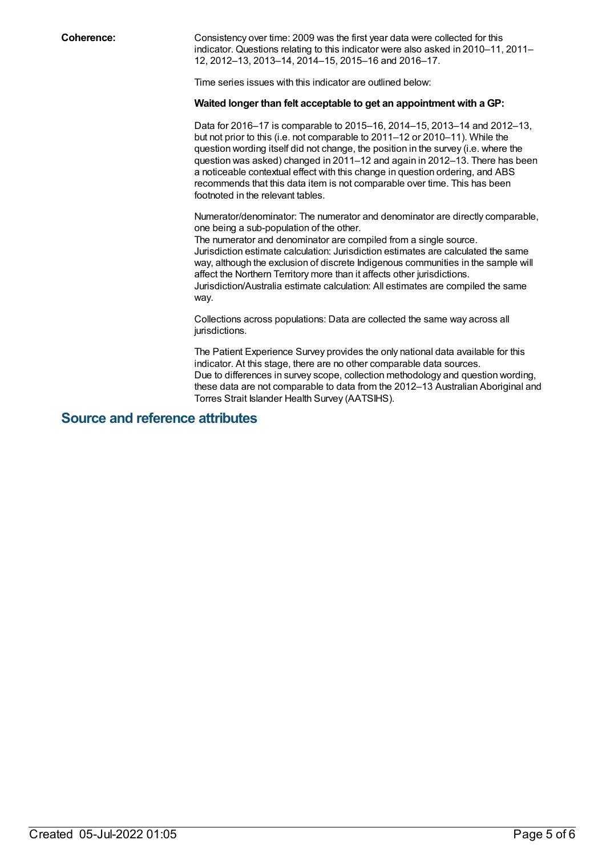**Coherence:** Consistency over time: 2009 was the first year data were collected for this indicator. Questions relating to this indicator were also asked in 2010–11, 2011– 12, 2012–13, 2013–14, 2014–15, 2015–16 and 2016–17.

Time series issues with this indicator are outlined below:

#### **Waited longer than felt acceptable to get an appointment with a GP:**

Data for 2016–17 is comparable to 2015–16, 2014–15, 2013–14 and 2012–13, but not prior to this (i.e. not comparable to 2011–12 or 2010–11). While the question wording itself did not change, the position in the survey (i.e. where the question was asked) changed in 2011–12 and again in 2012–13. There has been a noticeable contextual effect with this change in question ordering, and ABS recommends that this data item is not comparable over time. This has been footnoted in the relevant tables.

Numerator/denominator: The numerator and denominator are directly comparable, one being a sub-population of the other.

The numerator and denominator are compiled from a single source. Jurisdiction estimate calculation: Jurisdiction estimates are calculated the same way, although the exclusion of discrete Indigenous communities in the sample will affect the Northern Territory more than it affects other jurisdictions. Jurisdiction/Australia estimate calculation: All estimates are compiled the same way.

Collections across populations: Data are collected the same way across all jurisdictions.

The Patient Experience Survey provides the only national data available for this indicator. At this stage, there are no other comparable data sources. Due to differences in survey scope, collection methodology and question wording, these data are not comparable to data from the 2012–13 Australian Aboriginal and Torres Strait Islander Health Survey (AATSIHS).

### **Source and reference attributes**